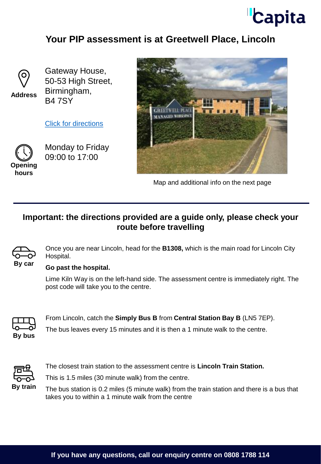

## **Your PIP assessment is at Greetwell Place, Lincoln**



**Address**

Gateway House, 50-53 High Street, Birmingham, B4 7SY

[Click for directions](https://goo.gl/maps/rWBm1ob8KakJJsPs6)



Monday to Friday 09:00 to 17:00

**hours**



Map and additional info on the next page

## **Important: the directions provided are a guide only, please check your route before travelling**



Once you are near Lincoln, head for the **B1308,** which is the main road for Lincoln City Hospital.

### **Go past the hospital.**

Lime Kiln Way is on the left-hand side. The assessment centre is immediately right. The post code will take you to the centre.



From Lincoln, catch the **Simply Bus B** from **Central Station Bay B** (LN5 7EP).

The bus leaves every 15 minutes and it is then a 1 minute walk to the centre.



The closest train station to the assessment centre is **Lincoln Train Station.** 

This is 1.5 miles (30 minute walk) from the centre.

The bus station is 0.2 miles (5 minute walk) from the train station and there is a bus that takes you to within a 1 minute walk from the centre